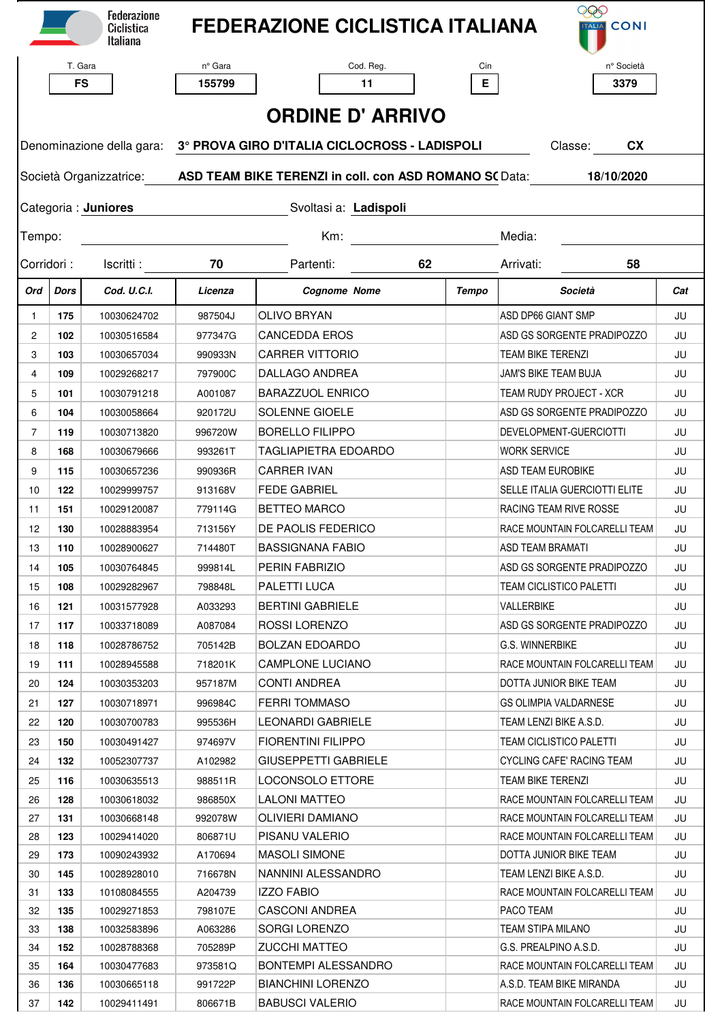|                         |             | <b>Federazione</b><br>Ciclistica<br>Italiana |                                                                                                     | <b>FEDERAZIONE CICLISTICA ITALIANA</b>          |       | <b>EED</b><br>TALIA CONI                                       |          |  |  |  |  |  |  |
|-------------------------|-------------|----------------------------------------------|-----------------------------------------------------------------------------------------------------|-------------------------------------------------|-------|----------------------------------------------------------------|----------|--|--|--|--|--|--|
|                         |             | T. Gara                                      | nº Gara                                                                                             | Cod. Reg.                                       | Cin   | nº Società                                                     |          |  |  |  |  |  |  |
|                         |             | <b>FS</b>                                    | 155799                                                                                              | 11                                              | E.    | 3379                                                           |          |  |  |  |  |  |  |
|                         |             |                                              |                                                                                                     |                                                 |       |                                                                |          |  |  |  |  |  |  |
| <b>ORDINE D' ARRIVO</b> |             |                                              |                                                                                                     |                                                 |       |                                                                |          |  |  |  |  |  |  |
|                         |             |                                              | Denominazione della gara: 3° PROVA GIRO D'ITALIA CICLOCROSS - LADISPOLI<br>Classe:<br><b>CX</b>     |                                                 |       |                                                                |          |  |  |  |  |  |  |
|                         |             |                                              | Società Organizzatrice: <b>ASD TEAM BIKE TERENZI in coll. con ASD ROMANO S(</b> Data:<br>18/10/2020 |                                                 |       |                                                                |          |  |  |  |  |  |  |
|                         |             | Categoria : Juniores                         | Svoltasi a: Ladispoli                                                                               |                                                 |       |                                                                |          |  |  |  |  |  |  |
| Tempo:                  |             |                                              | $Km$ :<br>Media:                                                                                    |                                                 |       |                                                                |          |  |  |  |  |  |  |
| Corridori:              |             | Iscritti:                                    | 70                                                                                                  | Partenti:<br>62                                 |       | Arrivati:<br>58                                                |          |  |  |  |  |  |  |
| Ord                     | <b>Dors</b> | Cod. U.C.I.                                  | Licenza                                                                                             | <b>Cognome Nome</b>                             | Tempo | Società                                                        | Cat      |  |  |  |  |  |  |
| $\mathbf{1}$            | 175         | 10030624702                                  | 987504J                                                                                             | <b>OLIVO BRYAN</b>                              |       | ASD DP66 GIANT SMP                                             | JU       |  |  |  |  |  |  |
| 2                       | 102         | 10030516584                                  | 977347G                                                                                             | <b>CANCEDDA EROS</b>                            |       | ASD GS SORGENTE PRADIPOZZO                                     | JU       |  |  |  |  |  |  |
| 3                       | 103         | 10030657034                                  | 990933N                                                                                             | <b>CARRER VITTORIO</b>                          |       | <b>TEAM BIKE TERENZI</b>                                       | JU       |  |  |  |  |  |  |
| $\overline{4}$          | 109         | 10029268217                                  | 797900C                                                                                             | DALLAGO ANDREA                                  |       | JAM'S BIKE TEAM BUJA                                           | JU       |  |  |  |  |  |  |
| 5                       | 101         | 10030791218                                  | A001087                                                                                             | <b>BARAZZUOL ENRICO</b>                         |       | <b>TEAM RUDY PROJECT - XCR</b>                                 | JU       |  |  |  |  |  |  |
| 6                       | 104         | 10030058664                                  | 920172U                                                                                             | SOLENNE GIOELE                                  |       | ASD GS SORGENTE PRADIPOZZO                                     | JU       |  |  |  |  |  |  |
| $\overline{7}$          | 119         | 10030713820                                  | 996720W                                                                                             | <b>BORELLO FILIPPO</b>                          |       | DEVELOPMENT-GUERCIOTTI                                         | JU       |  |  |  |  |  |  |
| 8                       | 168         | 10030679666                                  | 993261T                                                                                             | <b>TAGLIAPIETRA EDOARDO</b>                     |       | <b>WORK SERVICE</b>                                            | JU       |  |  |  |  |  |  |
| 9                       | 115         | 10030657236                                  | 990936R                                                                                             | <b>CARRER IVAN</b>                              |       | <b>ASD TEAM EUROBIKE</b>                                       | JU       |  |  |  |  |  |  |
| 10                      | 122         | 10029999757                                  | 913168V                                                                                             | <b>FEDE GABRIEL</b>                             |       | <b>SELLE ITALIA GUERCIOTTI ELITE</b>                           | JU       |  |  |  |  |  |  |
| 11                      | 151         | 10029120087                                  | 779114G                                                                                             | <b>BETTEO MARCO</b>                             |       | RACING TEAM RIVE ROSSE                                         | JU       |  |  |  |  |  |  |
| 12                      | 130         | 10028883954                                  | 713156Y                                                                                             | DE PAOLIS FEDERICO                              |       | RACE MOUNTAIN FOLCARELLI TEAM                                  | JU       |  |  |  |  |  |  |
| 13                      | 110         | 10028900627                                  | 714480T                                                                                             | BASSIGNANA FABIO                                |       | ASD TEAM BRAMATI                                               | JU       |  |  |  |  |  |  |
| 14                      | 105         | 10030764845                                  | 999814L                                                                                             | PERIN FABRIZIO                                  |       | ASD GS SORGENTE PRADIPOZZO                                     | JU       |  |  |  |  |  |  |
| 15                      | 108         | 10029282967                                  | 798848L                                                                                             | PALETTI LUCA                                    |       | TEAM CICLISTICO PALETTI                                        | JU       |  |  |  |  |  |  |
| 16                      | 121         | 10031577928                                  | A033293                                                                                             | <b>BERTINI GABRIELE</b>                         |       | VALLERBIKE                                                     | JU       |  |  |  |  |  |  |
| 17                      | 117         | 10033718089                                  | A087084                                                                                             | ROSSI LORENZO                                   |       | ASD GS SORGENTE PRADIPOZZO                                     | JU       |  |  |  |  |  |  |
| 18                      | 118         | 10028786752                                  | 705142B                                                                                             | <b>BOLZAN EDOARDO</b>                           |       | <b>G.S. WINNERBIKE</b>                                         | JU       |  |  |  |  |  |  |
| 19                      | 111         | 10028945588                                  | 718201K                                                                                             | CAMPLONE LUCIANO                                |       | RACE MOUNTAIN FOLCARELLI TEAM                                  | JU       |  |  |  |  |  |  |
| 20                      | 124         | 10030353203                                  | 957187M                                                                                             | <b>CONTI ANDREA</b>                             |       | DOTTA JUNIOR BIKE TEAM                                         | JU       |  |  |  |  |  |  |
| 21                      | 127         | 10030718971                                  | 996984C                                                                                             | <b>FERRI TOMMASO</b>                            |       | <b>GS OLIMPIA VALDARNESE</b>                                   | JU       |  |  |  |  |  |  |
| 22                      | 120         | 10030700783                                  |                                                                                                     | LEONARDI GABRIELE                               |       | TEAM LENZI BIKE A.S.D.                                         | JU       |  |  |  |  |  |  |
| 23                      | 150         |                                              | 995536H                                                                                             | <b>FIORENTINI FILIPPO</b>                       |       | <b>TEAM CICLISTICO PALETTI</b>                                 |          |  |  |  |  |  |  |
|                         |             | 10030491427                                  | 974697V                                                                                             | <b>GIUSEPPETTI GABRIELE</b>                     |       | <b>CYCLING CAFE' RACING TEAM</b>                               | JU<br>JU |  |  |  |  |  |  |
| 24                      | 132         | 10052307737                                  | A102982                                                                                             |                                                 |       | TEAM BIKE TERENZI                                              |          |  |  |  |  |  |  |
| 25                      | 116         | 10030635513                                  | 988511R                                                                                             | LOCONSOLO ETTORE                                |       |                                                                | JU       |  |  |  |  |  |  |
| 26                      | 128         | 10030618032                                  | 986850X                                                                                             | <b>LALONI MATTEO</b><br><b>OLIVIERI DAMIANO</b> |       | RACE MOUNTAIN FOLCARELLI TEAM<br>RACE MOUNTAIN FOLCARELLI TEAM | JU       |  |  |  |  |  |  |
| 27<br>28                | 131<br>123  | 10030668148                                  | 992078W<br>806871U                                                                                  | PISANU VALERIO                                  |       | RACE MOUNTAIN FOLCARELLI TEAM                                  | JU<br>JU |  |  |  |  |  |  |
| 29                      | 173         | 10029414020<br>10090243932                   | A170694                                                                                             | <b>MASOLI SIMONE</b>                            |       | DOTTA JUNIOR BIKE TEAM                                         | JU       |  |  |  |  |  |  |
| 30                      | 145         | 10028928010                                  | 716678N                                                                                             | NANNINI ALESSANDRO                              |       | TEAM LENZI BIKE A.S.D.                                         | JU       |  |  |  |  |  |  |
| 31                      | 133         | 10108084555                                  | A204739                                                                                             | <b>IZZO FABIO</b>                               |       | RACE MOUNTAIN FOLCARELLI TEAM                                  | JU       |  |  |  |  |  |  |
| 32                      | 135         | 10029271853                                  | 798107E                                                                                             | <b>CASCONI ANDREA</b>                           |       | PACO TEAM                                                      | JU       |  |  |  |  |  |  |
| 33                      | 138         | 10032583896                                  | A063286                                                                                             | SORGI LORENZO                                   |       | TEAM STIPA MILANO                                              | JU       |  |  |  |  |  |  |
| 34                      | 152         | 10028788368                                  | 705289P                                                                                             | <b>ZUCCHI MATTEO</b>                            |       | G.S. PREALPINO A.S.D.                                          | JU       |  |  |  |  |  |  |
| 35                      | 164         | 10030477683                                  | 973581Q                                                                                             | BONTEMPI ALESSANDRO                             |       | RACE MOUNTAIN FOLCARELLI TEAM                                  | JU       |  |  |  |  |  |  |
| 36                      | 136         | 10030665118                                  | 991722P                                                                                             | <b>BIANCHINI LORENZO</b>                        |       | A.S.D. TEAM BIKE MIRANDA                                       | JU       |  |  |  |  |  |  |
| 37                      | 142         | 10029411491                                  | 806671B                                                                                             | <b>BABUSCI VALERIO</b>                          |       | RACE MOUNTAIN FOLCARELLI TEAM                                  | JU       |  |  |  |  |  |  |